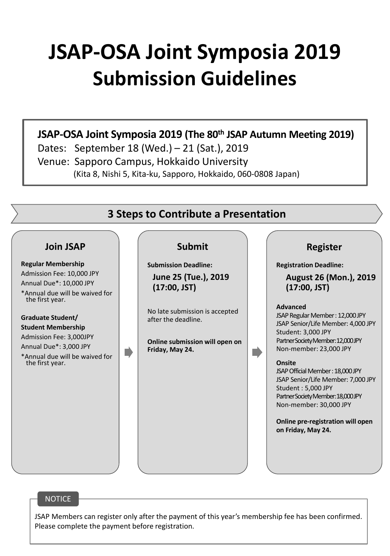# **JSAP-OSA Joint Symposia 2019 Submission Guidelines**

# **JSAP-OSA Joint Symposia 2019 (The 80th JSAP Autumn Meeting 2019)**

Dates: September 18 (Wed.) – 21 (Sat.), 2019 Venue: Sapporo Campus, Hokkaido University (Kita 8, Nishi 5, Kita-ku, Sapporo, Hokkaido, 060-0808 Japan)



#### **NOTICE**

JSAP Members can register only after the payment of this year's membership fee has been confirmed. Please complete the payment before registration.